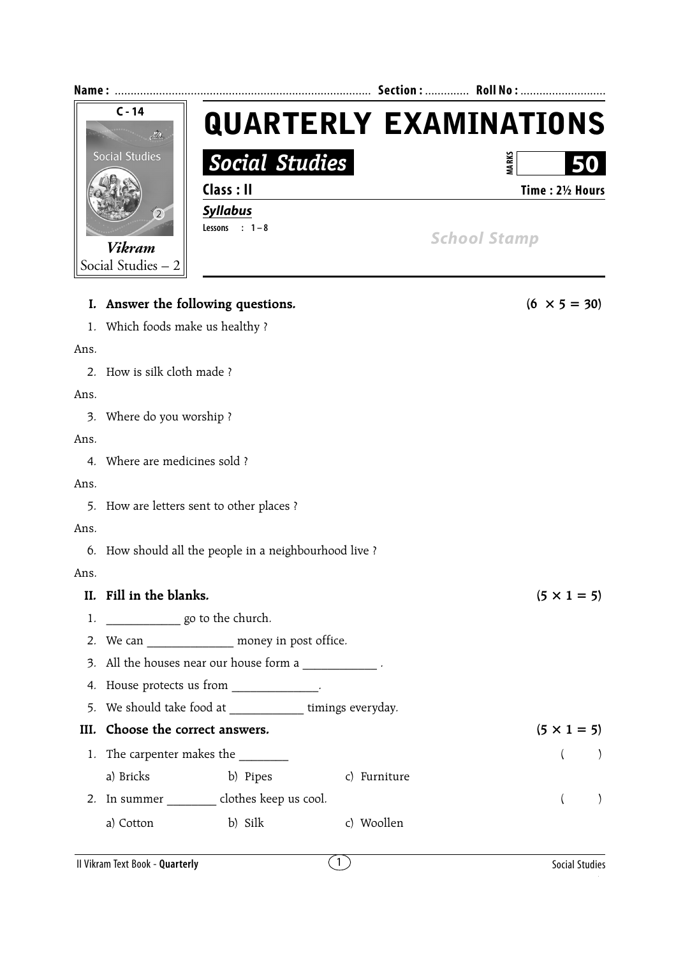| Name:                                      |                 | Section:  Roll No :           |  |  |
|--------------------------------------------|-----------------|-------------------------------|--|--|
| $C - 14$                                   |                 | <b>QUARTERLY EXAMINATIONS</b> |  |  |
| <b>Social Studies</b><br>$\left( 2\right)$ | Social Studies  | ARK:<br>50                    |  |  |
|                                            | Class : II      | Time: 21/2 Hours              |  |  |
|                                            | <b>Syllabus</b> |                               |  |  |
| <b>Vikram</b>                              | Lessons : $1-8$ | <b>School Stamp</b>           |  |  |
| Social Studies - 2                         |                 |                               |  |  |

|      | I. Answer the following questions.                         | $(6 \times 5 = 30)$       |  |  |  |  |
|------|------------------------------------------------------------|---------------------------|--|--|--|--|
|      | 1. Which foods make us healthy?                            |                           |  |  |  |  |
| Ans. |                                                            |                           |  |  |  |  |
|      | 2. How is silk cloth made?                                 |                           |  |  |  |  |
| Ans. |                                                            |                           |  |  |  |  |
|      | 3. Where do you worship?                                   |                           |  |  |  |  |
| Ans. |                                                            |                           |  |  |  |  |
|      | 4. Where are medicines sold?                               |                           |  |  |  |  |
| Ans. |                                                            |                           |  |  |  |  |
|      | 5. How are letters sent to other places ?                  |                           |  |  |  |  |
| Ans. |                                                            |                           |  |  |  |  |
|      | 6. How should all the people in a neighbourhood live?      |                           |  |  |  |  |
| Ans. |                                                            |                           |  |  |  |  |
|      | II. Fill in the blanks.                                    | $(5 \times 1 = 5)$        |  |  |  |  |
| 1.   | go to the church.                                          |                           |  |  |  |  |
|      | 2. We can ________________ money in post office.           |                           |  |  |  |  |
|      | 3. All the houses near our house form a                    |                           |  |  |  |  |
|      | 4. House protects us from ____________.                    |                           |  |  |  |  |
|      | 5. We should take food at ______________ timings everyday. |                           |  |  |  |  |
| III. | Choose the correct answers.                                | $(5 \times 1 = 5)$        |  |  |  |  |
|      |                                                            | $\left($<br>$\rightarrow$ |  |  |  |  |
|      | a) Bricks<br>b) Pipes<br>c) Furniture                      |                           |  |  |  |  |
|      | 2. In summer __________ clothes keep us cool.              | $\left( \right)$          |  |  |  |  |
|      | b) Silk<br>c) Woollen<br>a) Cotton                         |                           |  |  |  |  |
|      |                                                            |                           |  |  |  |  |